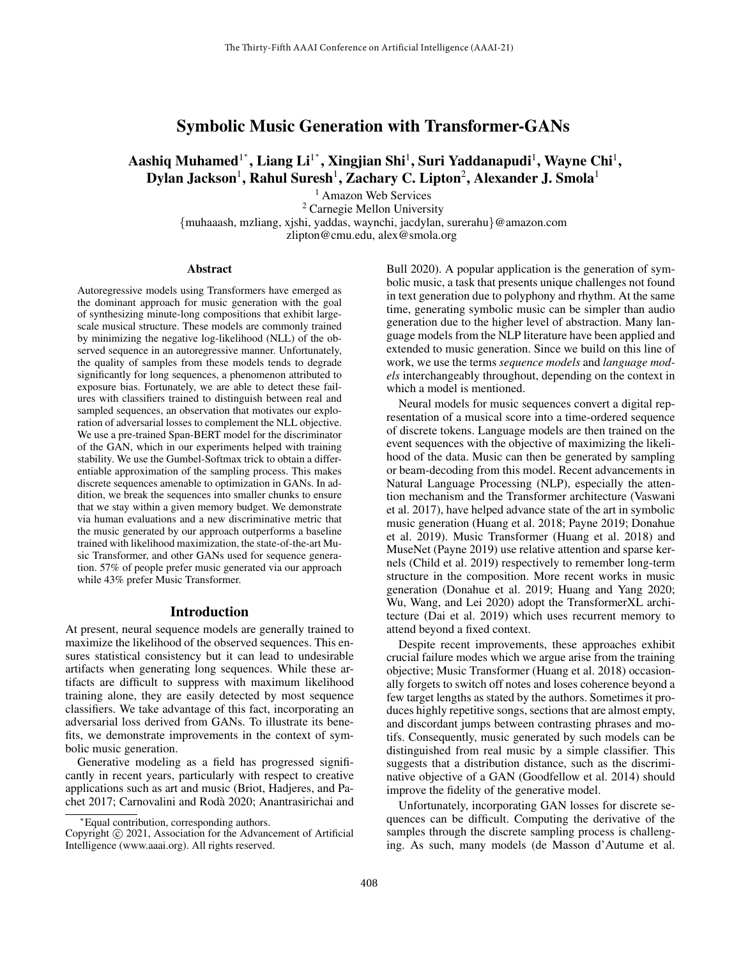# Symbolic Music Generation with Transformer-GANs

 $\mathbf A$ ashiq Muhamed $^{1^*}, \mathbf L$ iang  $\mathbf {Li}^{1^*}, \mathbf X$ ingjian Shi $^1, \mathbf S$ uri Yaddanapudi $^1, \mathbf W$ ayne Chi $^1,$ Dylan Jackson $^1$ , Rahul Suresh $^1$ , Zachary C. Lipton $^2$ , Alexander J. Smola $^1$ 

> <sup>1</sup> Amazon Web Services <sup>2</sup> Carnegie Mellon University {muhaaash, mzliang, xjshi, yaddas, waynchi, jacdylan, surerahu}@amazon.com zlipton@cmu.edu, alex@smola.org

#### Abstract

Autoregressive models using Transformers have emerged as the dominant approach for music generation with the goal of synthesizing minute-long compositions that exhibit largescale musical structure. These models are commonly trained by minimizing the negative log-likelihood (NLL) of the observed sequence in an autoregressive manner. Unfortunately, the quality of samples from these models tends to degrade significantly for long sequences, a phenomenon attributed to exposure bias. Fortunately, we are able to detect these failures with classifiers trained to distinguish between real and sampled sequences, an observation that motivates our exploration of adversarial losses to complement the NLL objective. We use a pre-trained Span-BERT model for the discriminator of the GAN, which in our experiments helped with training stability. We use the Gumbel-Softmax trick to obtain a differentiable approximation of the sampling process. This makes discrete sequences amenable to optimization in GANs. In addition, we break the sequences into smaller chunks to ensure that we stay within a given memory budget. We demonstrate via human evaluations and a new discriminative metric that the music generated by our approach outperforms a baseline trained with likelihood maximization, the state-of-the-art Music Transformer, and other GANs used for sequence generation. 57% of people prefer music generated via our approach while 43% prefer Music Transformer.

#### Introduction

At present, neural sequence models are generally trained to maximize the likelihood of the observed sequences. This ensures statistical consistency but it can lead to undesirable artifacts when generating long sequences. While these artifacts are difficult to suppress with maximum likelihood training alone, they are easily detected by most sequence classifiers. We take advantage of this fact, incorporating an adversarial loss derived from GANs. To illustrate its benefits, we demonstrate improvements in the context of symbolic music generation.

Generative modeling as a field has progressed significantly in recent years, particularly with respect to creative applications such as art and music (Briot, Hadjeres, and Pachet 2017; Carnovalini and Roda 2020; Anantrasirichai and ` Bull 2020). A popular application is the generation of symbolic music, a task that presents unique challenges not found in text generation due to polyphony and rhythm. At the same time, generating symbolic music can be simpler than audio generation due to the higher level of abstraction. Many language models from the NLP literature have been applied and extended to music generation. Since we build on this line of work, we use the terms *sequence models* and *language models* interchangeably throughout, depending on the context in which a model is mentioned.

Neural models for music sequences convert a digital representation of a musical score into a time-ordered sequence of discrete tokens. Language models are then trained on the event sequences with the objective of maximizing the likelihood of the data. Music can then be generated by sampling or beam-decoding from this model. Recent advancements in Natural Language Processing (NLP), especially the attention mechanism and the Transformer architecture (Vaswani et al. 2017), have helped advance state of the art in symbolic music generation (Huang et al. 2018; Payne 2019; Donahue et al. 2019). Music Transformer (Huang et al. 2018) and MuseNet (Payne 2019) use relative attention and sparse kernels (Child et al. 2019) respectively to remember long-term structure in the composition. More recent works in music generation (Donahue et al. 2019; Huang and Yang 2020; Wu, Wang, and Lei 2020) adopt the TransformerXL architecture (Dai et al. 2019) which uses recurrent memory to attend beyond a fixed context.

Despite recent improvements, these approaches exhibit crucial failure modes which we argue arise from the training objective; Music Transformer (Huang et al. 2018) occasionally forgets to switch off notes and loses coherence beyond a few target lengths as stated by the authors. Sometimes it produces highly repetitive songs, sections that are almost empty, and discordant jumps between contrasting phrases and motifs. Consequently, music generated by such models can be distinguished from real music by a simple classifier. This suggests that a distribution distance, such as the discriminative objective of a GAN (Goodfellow et al. 2014) should improve the fidelity of the generative model.

Unfortunately, incorporating GAN losses for discrete sequences can be difficult. Computing the derivative of the samples through the discrete sampling process is challenging. As such, many models (de Masson d'Autume et al.

<sup>∗</sup>Equal contribution, corresponding authors.

Copyright © 2021, Association for the Advancement of Artificial Intelligence (www.aaai.org). All rights reserved.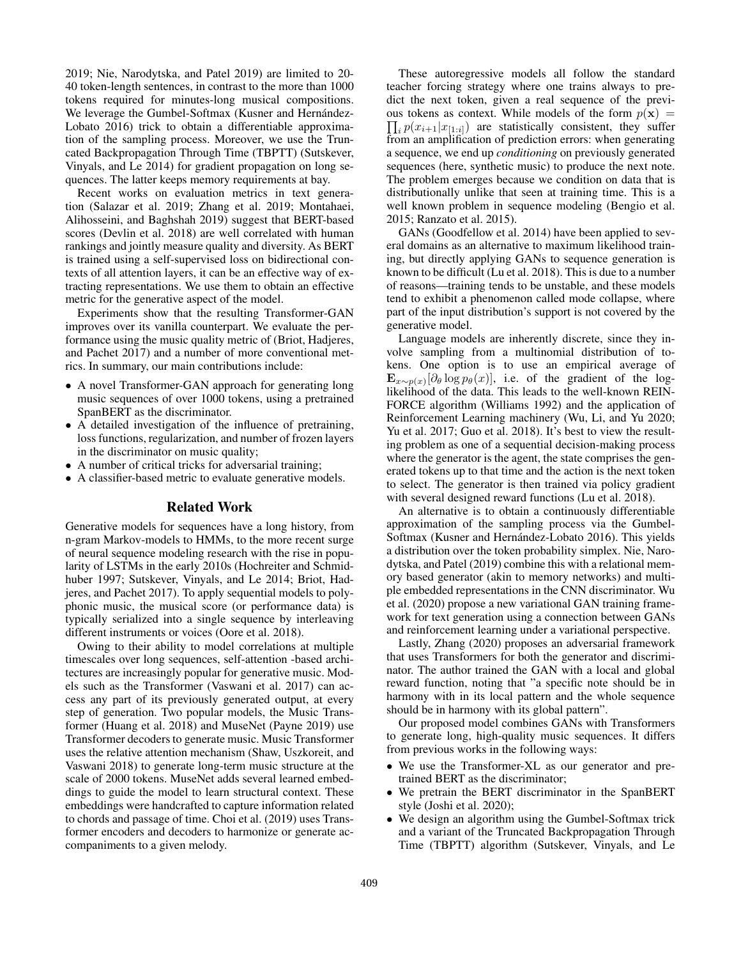2019; Nie, Narodytska, and Patel 2019) are limited to 20- 40 token-length sentences, in contrast to the more than 1000 tokens required for minutes-long musical compositions. We leverage the Gumbel-Softmax (Kusner and Hernández-Lobato 2016) trick to obtain a differentiable approximation of the sampling process. Moreover, we use the Truncated Backpropagation Through Time (TBPTT) (Sutskever, Vinyals, and Le 2014) for gradient propagation on long sequences. The latter keeps memory requirements at bay.

Recent works on evaluation metrics in text generation (Salazar et al. 2019; Zhang et al. 2019; Montahaei, Alihosseini, and Baghshah 2019) suggest that BERT-based scores (Devlin et al. 2018) are well correlated with human rankings and jointly measure quality and diversity. As BERT is trained using a self-supervised loss on bidirectional contexts of all attention layers, it can be an effective way of extracting representations. We use them to obtain an effective metric for the generative aspect of the model.

Experiments show that the resulting Transformer-GAN improves over its vanilla counterpart. We evaluate the performance using the music quality metric of (Briot, Hadjeres, and Pachet 2017) and a number of more conventional metrics. In summary, our main contributions include:

- A novel Transformer-GAN approach for generating long music sequences of over 1000 tokens, using a pretrained SpanBERT as the discriminator.
- A detailed investigation of the influence of pretraining, loss functions, regularization, and number of frozen layers in the discriminator on music quality;
- A number of critical tricks for adversarial training;
- A classifier-based metric to evaluate generative models.

### Related Work

Generative models for sequences have a long history, from n-gram Markov-models to HMMs, to the more recent surge of neural sequence modeling research with the rise in popularity of LSTMs in the early 2010s (Hochreiter and Schmidhuber 1997; Sutskever, Vinyals, and Le 2014; Briot, Hadjeres, and Pachet 2017). To apply sequential models to polyphonic music, the musical score (or performance data) is typically serialized into a single sequence by interleaving different instruments or voices (Oore et al. 2018).

Owing to their ability to model correlations at multiple timescales over long sequences, self-attention -based architectures are increasingly popular for generative music. Models such as the Transformer (Vaswani et al. 2017) can access any part of its previously generated output, at every step of generation. Two popular models, the Music Transformer (Huang et al. 2018) and MuseNet (Payne 2019) use Transformer decoders to generate music. Music Transformer uses the relative attention mechanism (Shaw, Uszkoreit, and Vaswani 2018) to generate long-term music structure at the scale of 2000 tokens. MuseNet adds several learned embeddings to guide the model to learn structural context. These embeddings were handcrafted to capture information related to chords and passage of time. Choi et al. (2019) uses Transformer encoders and decoders to harmonize or generate accompaniments to a given melody.

These autoregressive models all follow the standard teacher forcing strategy where one trains always to predict the next token, given a real sequence of the previous tokens as context. While models of the form  $p(x) =$  $\prod_i p(x_{i+1}|x_{[1:i]})$  are statistically consistent, they suffer from an amplification of prediction errors: when generating a sequence, we end up *conditioning* on previously generated sequences (here, synthetic music) to produce the next note. The problem emerges because we condition on data that is distributionally unlike that seen at training time. This is a well known problem in sequence modeling (Bengio et al. 2015; Ranzato et al. 2015).

GANs (Goodfellow et al. 2014) have been applied to several domains as an alternative to maximum likelihood training, but directly applying GANs to sequence generation is known to be difficult (Lu et al. 2018). This is due to a number of reasons—training tends to be unstable, and these models tend to exhibit a phenomenon called mode collapse, where part of the input distribution's support is not covered by the generative model.

Language models are inherently discrete, since they involve sampling from a multinomial distribution of tokens. One option is to use an empirical average of  $\mathbf{E}_{x \sim p(x)}[\partial_{\theta} \log p_{\theta}(x)],$  i.e. of the gradient of the loglikelihood of the data. This leads to the well-known REIN-FORCE algorithm (Williams 1992) and the application of Reinforcement Learning machinery (Wu, Li, and Yu 2020; Yu et al. 2017; Guo et al. 2018). It's best to view the resulting problem as one of a sequential decision-making process where the generator is the agent, the state comprises the generated tokens up to that time and the action is the next token to select. The generator is then trained via policy gradient with several designed reward functions (Lu et al. 2018).

An alternative is to obtain a continuously differentiable approximation of the sampling process via the Gumbel-Softmax (Kusner and Hernández-Lobato 2016). This yields a distribution over the token probability simplex. Nie, Narodytska, and Patel (2019) combine this with a relational memory based generator (akin to memory networks) and multiple embedded representations in the CNN discriminator. Wu et al. (2020) propose a new variational GAN training framework for text generation using a connection between GANs and reinforcement learning under a variational perspective.

Lastly, Zhang (2020) proposes an adversarial framework that uses Transformers for both the generator and discriminator. The author trained the GAN with a local and global reward function, noting that "a specific note should be in harmony with in its local pattern and the whole sequence should be in harmony with its global pattern".

Our proposed model combines GANs with Transformers to generate long, high-quality music sequences. It differs from previous works in the following ways:

- We use the Transformer-XL as our generator and pretrained BERT as the discriminator;
- We pretrain the BERT discriminator in the SpanBERT style (Joshi et al. 2020);
- We design an algorithm using the Gumbel-Softmax trick and a variant of the Truncated Backpropagation Through Time (TBPTT) algorithm (Sutskever, Vinyals, and Le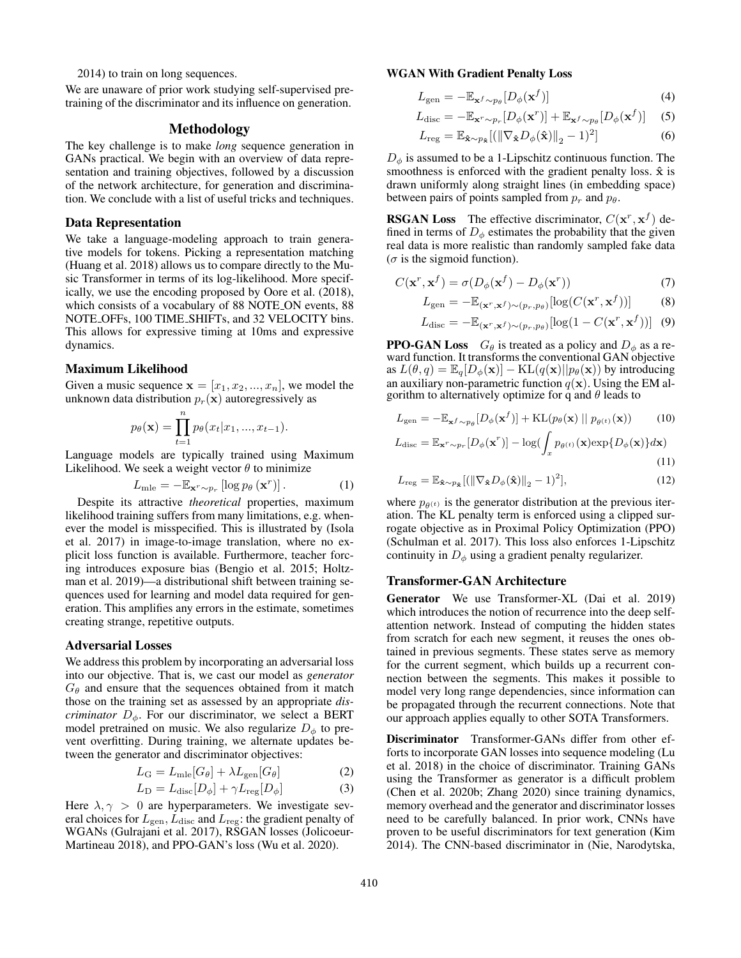2014) to train on long sequences.

We are unaware of prior work studying self-supervised pretraining of the discriminator and its influence on generation.

### Methodology

The key challenge is to make *long* sequence generation in GANs practical. We begin with an overview of data representation and training objectives, followed by a discussion of the network architecture, for generation and discrimination. We conclude with a list of useful tricks and techniques.

#### Data Representation

We take a language-modeling approach to train generative models for tokens. Picking a representation matching (Huang et al. 2018) allows us to compare directly to the Music Transformer in terms of its log-likelihood. More specifically, we use the encoding proposed by Oore et al. (2018), which consists of a vocabulary of 88 NOTE ON events, 88 NOTE OFFs, 100 TIME SHIFTs, and 32 VELOCITY bins. This allows for expressive timing at 10ms and expressive dynamics.

### Maximum Likelihood

Given a music sequence  $\mathbf{x} = [x_1, x_2, ..., x_n]$ , we model the unknown data distribution  $p_r(\mathbf{x})$  autoregressively as

$$
p_{\theta}(\mathbf{x}) = \prod_{t=1}^{n} p_{\theta}(x_t | x_1, ..., x_{t-1}).
$$

Language models are typically trained using Maximum Likelihood. We seek a weight vector  $\theta$  to minimize

$$
L_{\text{mle}} = -\mathbb{E}_{\mathbf{x}^r \sim p_r} \left[ \log p_\theta \left( \mathbf{x}^r \right) \right]. \tag{1}
$$

Despite its attractive *theoretical* properties, maximum likelihood training suffers from many limitations, e.g. whenever the model is misspecified. This is illustrated by (Isola et al. 2017) in image-to-image translation, where no explicit loss function is available. Furthermore, teacher forcing introduces exposure bias (Bengio et al. 2015; Holtzman et al. 2019)—a distributional shift between training sequences used for learning and model data required for generation. This amplifies any errors in the estimate, sometimes creating strange, repetitive outputs.

### Adversarial Losses

We address this problem by incorporating an adversarial loss into our objective. That is, we cast our model as *generator*  $G_{\theta}$  and ensure that the sequences obtained from it match those on the training set as assessed by an appropriate *discriminator*  $D_{\phi}$ . For our discriminator, we select a BERT model pretrained on music. We also regularize  $D_{\phi}$  to prevent overfitting. During training, we alternate updates between the generator and discriminator objectives:

$$
L_{\rm G} = L_{\rm mle}[G_{\theta}] + \lambda L_{\rm gen}[G_{\theta}] \tag{2}
$$

$$
L_{\rm D} = L_{\rm disc}[D_{\phi}] + \gamma L_{\rm reg}[D_{\phi}] \tag{3}
$$

Here  $\lambda, \gamma > 0$  are hyperparameters. We investigate several choices for  $L_{\text{gen}}$ ,  $L_{\text{disc}}$  and  $L_{\text{reg}}$ : the gradient penalty of WGANs (Gulrajani et al. 2017), RSGAN losses (Jolicoeur-Martineau 2018), and PPO-GAN's loss (Wu et al. 2020).

## WGAN With Gradient Penalty Loss

$$
L_{\text{gen}} = -\mathbb{E}_{\mathbf{x}^f \sim p_\theta} [D_\phi(\mathbf{x}^f)] \tag{4}
$$

$$
L_{\rm disc} = -\mathbb{E}_{\mathbf{x}^r \sim p_r} [D_{\phi}(\mathbf{x}^r)] + \mathbb{E}_{\mathbf{x}^f \sim p_\theta} [D_{\phi}(\mathbf{x}^f)] \quad (5)
$$

$$
L_{\text{reg}} = \mathbb{E}_{\hat{\mathbf{x}} \sim p_{\hat{\mathbf{x}}}} [(\|\nabla_{\hat{\mathbf{x}}} D_{\phi}(\hat{\mathbf{x}})\|_{2} - 1)^{2}] \tag{6}
$$

 $D_{\phi}$  is assumed to be a 1-Lipschitz continuous function. The smoothness is enforced with the gradient penalty loss.  $\hat{x}$  is drawn uniformly along straight lines (in embedding space) between pairs of points sampled from  $p_r$  and  $p_\theta$ .

**RSGAN Loss** The effective discriminator,  $C(\mathbf{x}^r, \mathbf{x}^f)$  defined in terms of  $D_{\phi}$  estimates the probability that the given real data is more realistic than randomly sampled fake data ( $\sigma$  is the sigmoid function).

$$
C(\mathbf{x}^r, \mathbf{x}^f) = \sigma(D_{\phi}(\mathbf{x}^f) - D_{\phi}(\mathbf{x}^r))
$$
\n(7)

$$
L_{\text{gen}} = -\mathbb{E}_{(\mathbf{x}^r, \mathbf{x}^f) \sim (p_r, p_\theta)}[\log(C(\mathbf{x}^r, \mathbf{x}^f))]
$$
(8)

$$
L_{\text{disc}} = -\mathbb{E}_{(\mathbf{x}^r, \mathbf{x}^f) \sim (p_r, p_\theta)}[\log(1 - C(\mathbf{x}^r, \mathbf{x}^f))]
$$
(9)

**PPO-GAN Loss**  $G_{\theta}$  is treated as a policy and  $D_{\phi}$  as a reward function. It transforms the conventional GAN objective as  $L(\theta, q) = \mathbb{E}_q[D_\phi(\mathbf{x})] - \text{KL}(q(\mathbf{x})||p_\theta(\mathbf{x}))$  by introducing an auxiliary non-parametric function  $q(x)$ . Using the EM algorithm to alternatively optimize for q and  $\theta$  leads to

$$
L_{\text{gen}} = -\mathbb{E}_{\mathbf{x}^f \sim p_{\theta}} [D_{\phi}(\mathbf{x}^f)] + \text{KL}(p_{\theta}(\mathbf{x}) || p_{\theta^{(t)}}(\mathbf{x})) \qquad (10)
$$

$$
L_{\text{disc}} = \mathbb{E}_{\mathbf{x}^r \sim p_r} [D_{\phi}(\mathbf{x}^r)] - \log \left( \int p_{\theta^{(t)}}(\mathbf{x}) \exp\{D_{\phi}(\mathbf{x})\} d\mathbf{x} \right)
$$

$$
u_{\rm{isc}} = \mathbb{E}_{\mathbf{x}^r \sim p_r} [D_{\phi}(\mathbf{x}^r)] - \log(\int_x p_{\theta^{(t)}}(\mathbf{x}) \exp\{D_{\phi}(\mathbf{x})\} d\mathbf{x})
$$
\n(11)

$$
L_{\text{reg}} = \mathbb{E}_{\hat{\mathbf{x}} \sim p_{\hat{\mathbf{x}}}} [(\|\nabla_{\hat{\mathbf{x}}} D_{\phi}(\hat{\mathbf{x}})\|_{2} - 1)^{2}], \tag{12}
$$

where  $p_{\theta^{(t)}}$  is the generator distribution at the previous iteration. The KL penalty term is enforced using a clipped surrogate objective as in Proximal Policy Optimization (PPO) (Schulman et al. 2017). This loss also enforces 1-Lipschitz continuity in  $D_{\phi}$  using a gradient penalty regularizer.

### Transformer-GAN Architecture

Generator We use Transformer-XL (Dai et al. 2019) which introduces the notion of recurrence into the deep selfattention network. Instead of computing the hidden states from scratch for each new segment, it reuses the ones obtained in previous segments. These states serve as memory for the current segment, which builds up a recurrent connection between the segments. This makes it possible to model very long range dependencies, since information can be propagated through the recurrent connections. Note that our approach applies equally to other SOTA Transformers.

Discriminator Transformer-GANs differ from other efforts to incorporate GAN losses into sequence modeling (Lu et al. 2018) in the choice of discriminator. Training GANs using the Transformer as generator is a difficult problem (Chen et al. 2020b; Zhang 2020) since training dynamics, memory overhead and the generator and discriminator losses need to be carefully balanced. In prior work, CNNs have proven to be useful discriminators for text generation (Kim 2014). The CNN-based discriminator in (Nie, Narodytska,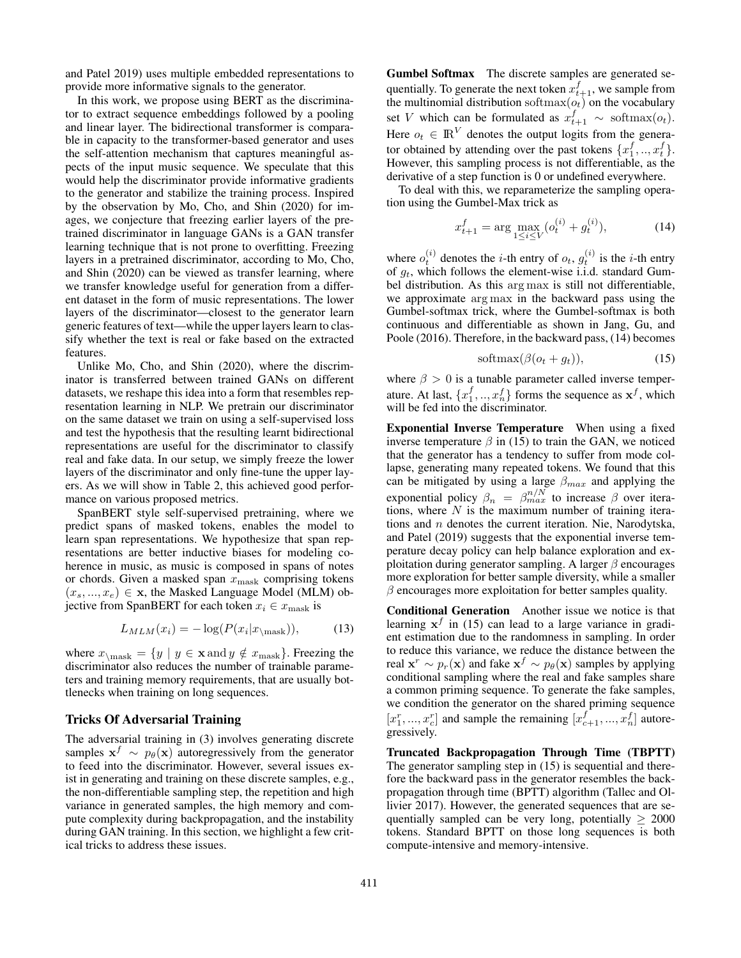and Patel 2019) uses multiple embedded representations to provide more informative signals to the generator.

In this work, we propose using BERT as the discriminator to extract sequence embeddings followed by a pooling and linear layer. The bidirectional transformer is comparable in capacity to the transformer-based generator and uses the self-attention mechanism that captures meaningful aspects of the input music sequence. We speculate that this would help the discriminator provide informative gradients to the generator and stabilize the training process. Inspired by the observation by Mo, Cho, and Shin (2020) for images, we conjecture that freezing earlier layers of the pretrained discriminator in language GANs is a GAN transfer learning technique that is not prone to overfitting. Freezing layers in a pretrained discriminator, according to Mo, Cho, and Shin (2020) can be viewed as transfer learning, where we transfer knowledge useful for generation from a different dataset in the form of music representations. The lower layers of the discriminator—closest to the generator learn generic features of text—while the upper layers learn to classify whether the text is real or fake based on the extracted features.

Unlike Mo, Cho, and Shin (2020), where the discriminator is transferred between trained GANs on different datasets, we reshape this idea into a form that resembles representation learning in NLP. We pretrain our discriminator on the same dataset we train on using a self-supervised loss and test the hypothesis that the resulting learnt bidirectional representations are useful for the discriminator to classify real and fake data. In our setup, we simply freeze the lower layers of the discriminator and only fine-tune the upper layers. As we will show in Table 2, this achieved good performance on various proposed metrics.

SpanBERT style self-supervised pretraining, where we predict spans of masked tokens, enables the model to learn span representations. We hypothesize that span representations are better inductive biases for modeling coherence in music, as music is composed in spans of notes or chords. Given a masked span  $x_{\text{mask}}$  comprising tokens  $(x_s, ..., x_e) \in \mathbf{x}$ , the Masked Language Model (MLM) objective from SpanBERT for each token  $x_i \in x_{\text{mask}}$  is

$$
L_{MLM}(x_i) = -\log(P(x_i|x_{\text{mask}})),\tag{13}
$$

where  $x_{\text{mask}} = \{y \mid y \in \mathbf{x} \text{ and } y \notin x_{\text{mask}}\}.$  Freezing the discriminator also reduces the number of trainable parameters and training memory requirements, that are usually bottlenecks when training on long sequences.

### Tricks Of Adversarial Training

The adversarial training in (3) involves generating discrete samples  $\mathbf{x}^f \sim p_\theta(\mathbf{x})$  autoregressively from the generator to feed into the discriminator. However, several issues exist in generating and training on these discrete samples, e.g., the non-differentiable sampling step, the repetition and high variance in generated samples, the high memory and compute complexity during backpropagation, and the instability during GAN training. In this section, we highlight a few critical tricks to address these issues.

Gumbel Softmax The discrete samples are generated sequentially. To generate the next token  $x_{t+1}^f$ , we sample from the multinomial distribution softmax $(o_t)$  on the vocabulary set *V* which can be formulated as  $x_{t+1}^f \sim \text{softmax}(o_t)$ . Here  $o_t \in \mathbb{R}^V$  denotes the output logits from the generator obtained by attending over the past tokens  $\{x_1^f, ..., x_t^f\}$ . However, this sampling process is not differentiable, as the derivative of a step function is 0 or undefined everywhere.

To deal with this, we reparameterize the sampling operation using the Gumbel-Max trick as

$$
x_{t+1}^f = \arg\max_{1 \le i \le V} (o_t^{(i)} + g_t^{(i)}),\tag{14}
$$

where  $o_t^{(i)}$  denotes the *i*-th entry of  $o_t$ ,  $g_t^{(i)}$  is the *i*-th entry of  $q_t$ , which follows the element-wise i.i.d. standard Gumbel distribution. As this arg max is still not differentiable, we approximate arg max in the backward pass using the Gumbel-softmax trick, where the Gumbel-softmax is both continuous and differentiable as shown in Jang, Gu, and Poole (2016). Therefore, in the backward pass, (14) becomes

$$
\text{softmax}(\beta(o_t + g_t)),\tag{15}
$$

where  $\beta > 0$  is a tunable parameter called inverse temperature. At last,  $\{x_1^f, ..., x_n^f\}$  forms the sequence as  $\mathbf{x}^f$ , which will be fed into the discriminator.

Exponential Inverse Temperature When using a fixed inverse temperature  $\beta$  in (15) to train the GAN, we noticed that the generator has a tendency to suffer from mode collapse, generating many repeated tokens. We found that this can be mitigated by using a large  $\beta_{max}$  and applying the exponential policy  $\beta_n = \beta_{max}^{n/N}$  to increase  $\beta$  over iterations, where  $N$  is the maximum number of training iterations and n denotes the current iteration. Nie, Narodytska, and Patel (2019) suggests that the exponential inverse temperature decay policy can help balance exploration and exploitation during generator sampling. A larger  $\beta$  encourages more exploration for better sample diversity, while a smaller  $\beta$  encourages more exploitation for better samples quality.

Conditional Generation Another issue we notice is that learning  $x^f$  in (15) can lead to a large variance in gradient estimation due to the randomness in sampling. In order to reduce this variance, we reduce the distance between the real  $\mathbf{x}^r \sim p_r(\mathbf{x})$  and fake  $\mathbf{x}^f \sim p_\theta(\mathbf{x})$  samples by applying conditional sampling where the real and fake samples share a common priming sequence. To generate the fake samples, we condition the generator on the shared priming sequence  $[x_1^r, ..., x_c^r]$  and sample the remaining  $[x_{c+1}^f, ..., x_n^f]$  autoregressively.

Truncated Backpropagation Through Time (TBPTT) The generator sampling step in (15) is sequential and therefore the backward pass in the generator resembles the backpropagation through time (BPTT) algorithm (Tallec and Ollivier 2017). However, the generated sequences that are sequentially sampled can be very long, potentially  $\geq 2000$ tokens. Standard BPTT on those long sequences is both compute-intensive and memory-intensive.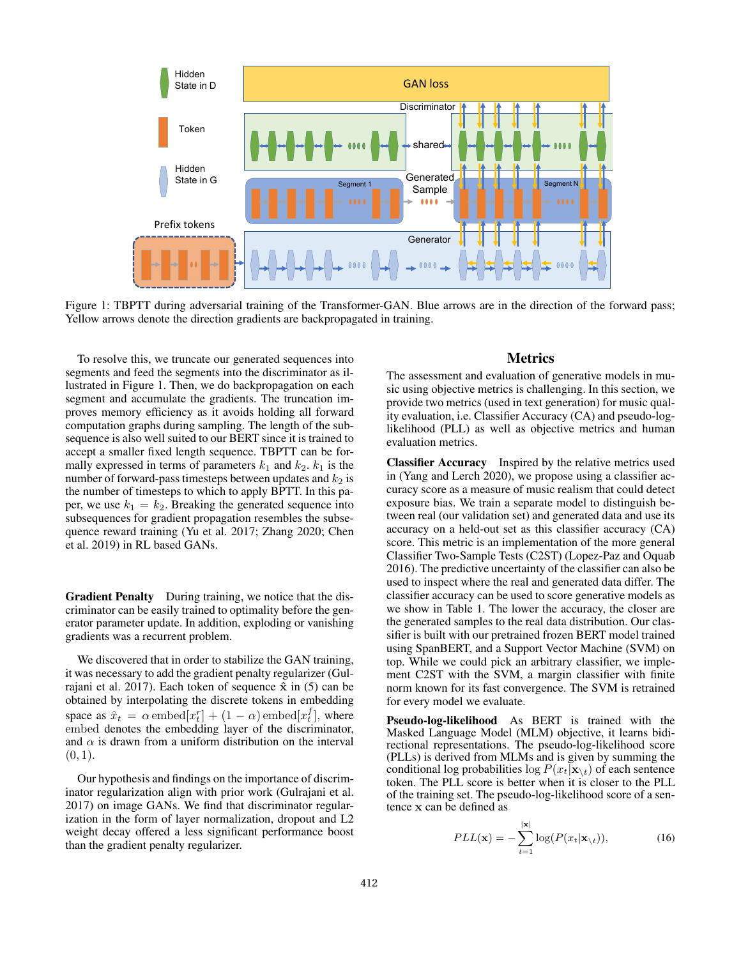

Figure 1: TBPTT during adversarial training of the Transformer-GAN. Blue arrows are in the direction of the forward pass; Yellow arrows denote the direction gradients are backpropagated in training.

To resolve this, we truncate our generated sequences into segments and feed the segments into the discriminator as illustrated in Figure 1. Then, we do backpropagation on each segment and accumulate the gradients. The truncation improves memory efficiency as it avoids holding all forward computation graphs during sampling. The length of the subsequence is also well suited to our BERT since it is trained to accept a smaller fixed length sequence. TBPTT can be formally expressed in terms of parameters  $k_1$  and  $k_2$ .  $k_1$  is the number of forward-pass timesteps between updates and  $k_2$  is the number of timesteps to which to apply BPTT. In this paper, we use  $k_1 = k_2$ . Breaking the generated sequence into subsequences for gradient propagation resembles the subsequence reward training (Yu et al. 2017; Zhang 2020; Chen et al. 2019) in RL based GANs.

Gradient Penalty During training, we notice that the discriminator can be easily trained to optimality before the generator parameter update. In addition, exploding or vanishing gradients was a recurrent problem.

We discovered that in order to stabilize the GAN training, it was necessary to add the gradient penalty regularizer (Gulrajani et al. 2017). Each token of sequence  $\hat{x}$  in (5) can be obtained by interpolating the discrete tokens in embedding space as  $\hat{x}_t = \alpha$  embed $[x_t^r] + (1 - \alpha)$  embed $[x_t^f]$ , where embed denotes the embedding layer of the discriminator, and  $\alpha$  is drawn from a uniform distribution on the interval  $(0, 1)$ .

Our hypothesis and findings on the importance of discriminator regularization align with prior work (Gulrajani et al. 2017) on image GANs. We find that discriminator regularization in the form of layer normalization, dropout and L2 weight decay offered a less significant performance boost than the gradient penalty regularizer.

# Metrics

The assessment and evaluation of generative models in music using objective metrics is challenging. In this section, we provide two metrics (used in text generation) for music quality evaluation, i.e. Classifier Accuracy (CA) and pseudo-loglikelihood (PLL) as well as objective metrics and human evaluation metrics.

Classifier Accuracy Inspired by the relative metrics used in (Yang and Lerch 2020), we propose using a classifier accuracy score as a measure of music realism that could detect exposure bias. We train a separate model to distinguish between real (our validation set) and generated data and use its accuracy on a held-out set as this classifier accuracy (CA) score. This metric is an implementation of the more general Classifier Two-Sample Tests (C2ST) (Lopez-Paz and Oquab 2016). The predictive uncertainty of the classifier can also be used to inspect where the real and generated data differ. The classifier accuracy can be used to score generative models as we show in Table 1. The lower the accuracy, the closer are the generated samples to the real data distribution. Our classifier is built with our pretrained frozen BERT model trained using SpanBERT, and a Support Vector Machine (SVM) on top. While we could pick an arbitrary classifier, we implement C2ST with the SVM, a margin classifier with finite norm known for its fast convergence. The SVM is retrained for every model we evaluate.

Pseudo-log-likelihood As BERT is trained with the Masked Language Model (MLM) objective, it learns bidirectional representations. The pseudo-log-likelihood score (PLLs) is derived from MLMs and is given by summing the conditional log probabilities  $\log P(x_t|\mathbf{x}_{\setminus t})$  of each sentence token. The PLL score is better when it is closer to the PLL of the training set. The pseudo-log-likelihood score of a sentence x can be defined as

$$
PLL(\mathbf{x}) = -\sum_{t=1}^{|\mathbf{x}|} \log(P(x_t|\mathbf{x}_{\setminus t})),\tag{16}
$$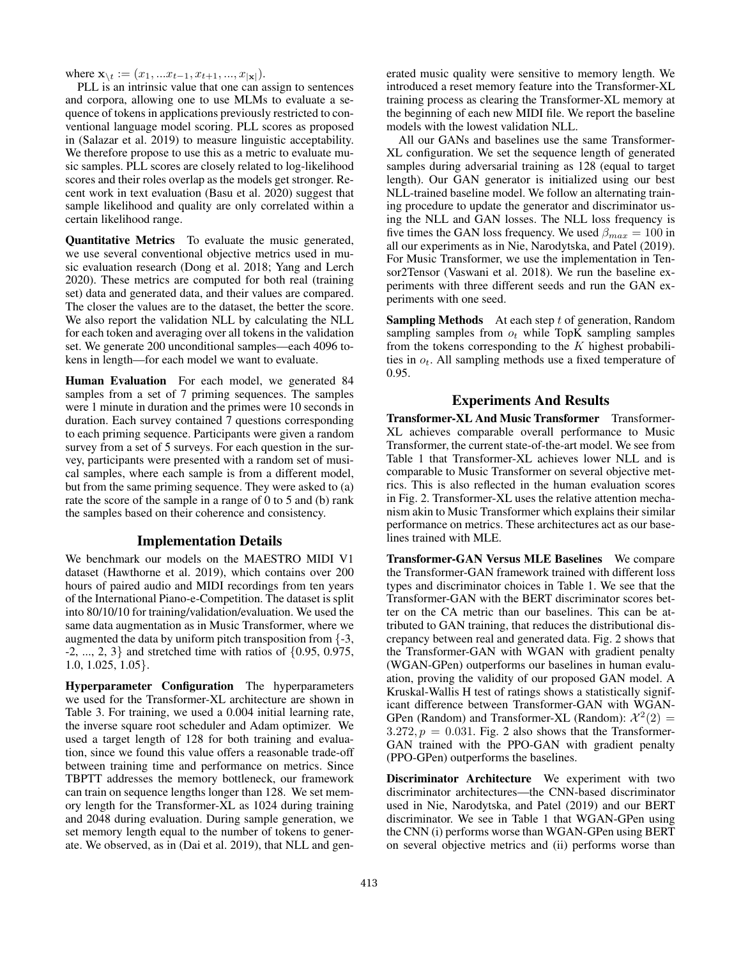where  $\mathbf{x}_{\setminus t} := (x_1, ... x_{t-1}, x_{t+1}, ..., x_{|\mathbf{x}|}).$ 

PLL is an intrinsic value that one can assign to sentences and corpora, allowing one to use MLMs to evaluate a sequence of tokens in applications previously restricted to conventional language model scoring. PLL scores as proposed in (Salazar et al. 2019) to measure linguistic acceptability. We therefore propose to use this as a metric to evaluate music samples. PLL scores are closely related to log-likelihood scores and their roles overlap as the models get stronger. Recent work in text evaluation (Basu et al. 2020) suggest that sample likelihood and quality are only correlated within a certain likelihood range.

Quantitative Metrics To evaluate the music generated, we use several conventional objective metrics used in music evaluation research (Dong et al. 2018; Yang and Lerch 2020). These metrics are computed for both real (training set) data and generated data, and their values are compared. The closer the values are to the dataset, the better the score. We also report the validation NLL by calculating the NLL for each token and averaging over all tokens in the validation set. We generate 200 unconditional samples—each 4096 tokens in length—for each model we want to evaluate.

Human Evaluation For each model, we generated 84 samples from a set of 7 priming sequences. The samples were 1 minute in duration and the primes were 10 seconds in duration. Each survey contained 7 questions corresponding to each priming sequence. Participants were given a random survey from a set of 5 surveys. For each question in the survey, participants were presented with a random set of musical samples, where each sample is from a different model, but from the same priming sequence. They were asked to (a) rate the score of the sample in a range of 0 to 5 and (b) rank the samples based on their coherence and consistency.

#### Implementation Details

We benchmark our models on the MAESTRO MIDI V1 dataset (Hawthorne et al. 2019), which contains over 200 hours of paired audio and MIDI recordings from ten years of the International Piano-e-Competition. The dataset is split into 80/10/10 for training/validation/evaluation. We used the same data augmentation as in Music Transformer, where we augmented the data by uniform pitch transposition from {-3, -2, ..., 2, 3} and stretched time with ratios of {0.95, 0.975, 1.0, 1.025, 1.05}.

Hyperparameter Configuration The hyperparameters we used for the Transformer-XL architecture are shown in Table 3. For training, we used a 0.004 initial learning rate, the inverse square root scheduler and Adam optimizer. We used a target length of 128 for both training and evaluation, since we found this value offers a reasonable trade-off between training time and performance on metrics. Since TBPTT addresses the memory bottleneck, our framework can train on sequence lengths longer than 128. We set memory length for the Transformer-XL as 1024 during training and 2048 during evaluation. During sample generation, we set memory length equal to the number of tokens to generate. We observed, as in (Dai et al. 2019), that NLL and gen-

erated music quality were sensitive to memory length. We introduced a reset memory feature into the Transformer-XL training process as clearing the Transformer-XL memory at the beginning of each new MIDI file. We report the baseline models with the lowest validation NLL.

All our GANs and baselines use the same Transformer-XL configuration. We set the sequence length of generated samples during adversarial training as 128 (equal to target length). Our GAN generator is initialized using our best NLL-trained baseline model. We follow an alternating training procedure to update the generator and discriminator using the NLL and GAN losses. The NLL loss frequency is five times the GAN loss frequency. We used  $\beta_{max} = 100$  in all our experiments as in Nie, Narodytska, and Patel (2019). For Music Transformer, we use the implementation in Tensor2Tensor (Vaswani et al. 2018). We run the baseline experiments with three different seeds and run the GAN experiments with one seed.

**Sampling Methods** At each step  $t$  of generation, Random sampling samples from  $o_t$  while TopK sampling samples from the tokens corresponding to the  $K$  highest probabilities in  $o_t$ . All sampling methods use a fixed temperature of 0.95.

### Experiments And Results

Transformer-XL And Music Transformer Transformer-XL achieves comparable overall performance to Music Transformer, the current state-of-the-art model. We see from Table 1 that Transformer-XL achieves lower NLL and is comparable to Music Transformer on several objective metrics. This is also reflected in the human evaluation scores in Fig. 2. Transformer-XL uses the relative attention mechanism akin to Music Transformer which explains their similar performance on metrics. These architectures act as our baselines trained with MLE.

Transformer-GAN Versus MLE Baselines We compare the Transformer-GAN framework trained with different loss types and discriminator choices in Table 1. We see that the Transformer-GAN with the BERT discriminator scores better on the CA metric than our baselines. This can be attributed to GAN training, that reduces the distributional discrepancy between real and generated data. Fig. 2 shows that the Transformer-GAN with WGAN with gradient penalty (WGAN-GPen) outperforms our baselines in human evaluation, proving the validity of our proposed GAN model. A Kruskal-Wallis H test of ratings shows a statistically significant difference between Transformer-GAN with WGAN-GPen (Random) and Transformer-XL (Random):  $\mathcal{X}^2(2) =$  $3.272, p = 0.031$ . Fig. 2 also shows that the Transformer-GAN trained with the PPO-GAN with gradient penalty (PPO-GPen) outperforms the baselines.

Discriminator Architecture We experiment with two discriminator architectures—the CNN-based discriminator used in Nie, Narodytska, and Patel (2019) and our BERT discriminator. We see in Table 1 that WGAN-GPen using the CNN (i) performs worse than WGAN-GPen using BERT on several objective metrics and (ii) performs worse than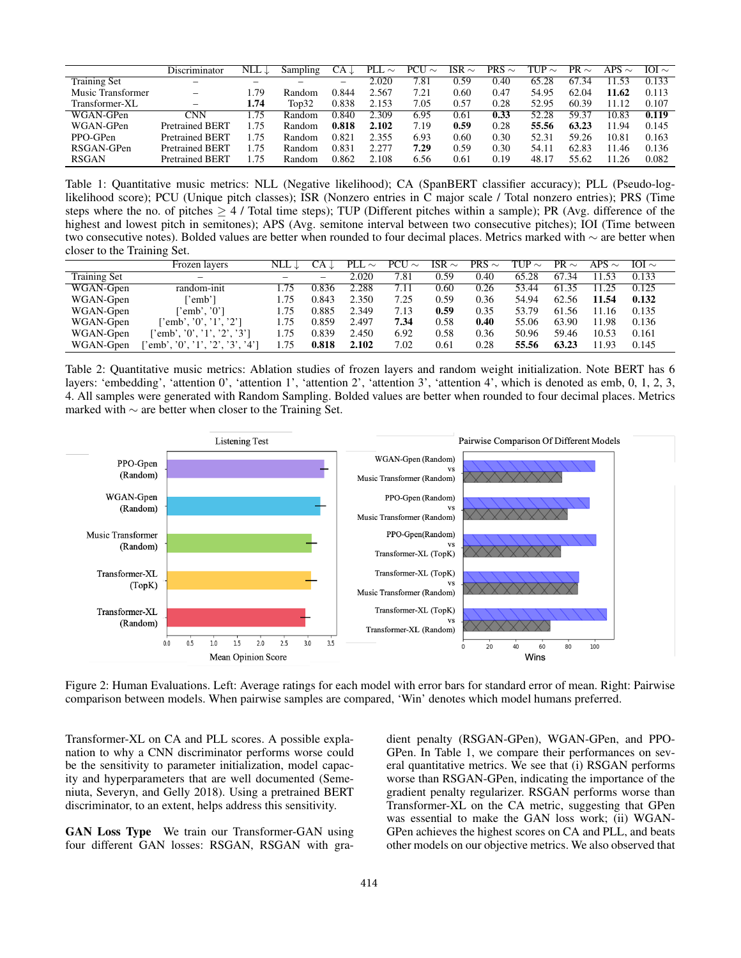|                     | Discriminator          | NLL $\downarrow$ | Sampling | CA ↓  | PLL.<br>$\sim$ | PCU<br>$\sim$ | ISR $\sim$ | PRS $\sim$ | TUP $\sim$ | PR $\sim$ | APS $\sim$ | IOI $\sim$ |
|---------------------|------------------------|------------------|----------|-------|----------------|---------------|------------|------------|------------|-----------|------------|------------|
| <b>Training Set</b> |                        | -                |          |       | 2.020          | 7.81          | 0.59       | 0.40       | 65.28      | 67<br>.34 | 11.53      | 0.133      |
| Music Transformer   | -                      | .79              | Random   | 0.844 | 2.567          | 7.21          | 0.60       | 0.47       | 54.95      | 62.04     | 11.62      | 0.113      |
| Transformer-XL      | -                      | 1.74             | Top32    | 0.838 | 2.153          | 7.05          | 0.57       | 0.28       | 52.95      | 60.39     | 11.12      | 0.107      |
| WGAN-GPen           | CNN                    | . 75             | Random   | 0.840 | 2.309          | 6.95          | 0.61       | 0.33       | 52.28      | 59.37     | 10.83      | 0.119      |
| WGAN-GPen           | <b>Pretrained BERT</b> | .75              | Random   | 0.818 | 2.102          | 7.19          | 0.59       | 0.28       | 55.56      | 63.23     | 11.94      | 0.145      |
| PPO-GPen            | <b>Pretrained BERT</b> | .75              | Random   | 0.821 | 2.355          | 6.93          | 0.60       | 0.30       | 52.31      | 59.26     | 10.81      | 0.163      |
| RSGAN-GPen          | <b>Pretrained BERT</b> | .75              | Random   | 0.831 | 2.277          | 7.29          | 0.59       | 0.30       | 54.11      | 62.83     | 11.46      | 0.136      |
| <b>RSGAN</b>        | <b>Pretrained BERT</b> | 75               | Random   | 0.862 | 2.108          | 6.56          | 0.61       | 0.19       | 48.17      | 55.62     | 11.26      | 0.082      |

Table 1: Quantitative music metrics: NLL (Negative likelihood); CA (SpanBERT classifier accuracy); PLL (Pseudo-loglikelihood score); PCU (Unique pitch classes); ISR (Nonzero entries in C major scale / Total nonzero entries); PRS (Time steps where the no. of pitches  $\geq 4$  / Total time steps); TUP (Different pitches within a sample); PR (Avg. difference of the highest and lowest pitch in semitones); APS (Avg. semitone interval between two consecutive pitches); IOI (Time between two consecutive notes). Bolded values are better when rounded to four decimal places. Metrics marked with ∼ are better when closer to the Training Set.

|                     | Frozen lavers                   | $NLL \perp$ | CA J  | PLL<br>$\sim$ | $PCU \sim$ | ISR $\sim$ | PRS $\sim$ | TUP $\sim$ | PR $\sim$ | APS $\sim$ | $IOI \sim$ |
|---------------------|---------------------------------|-------------|-------|---------------|------------|------------|------------|------------|-----------|------------|------------|
| <b>Training Set</b> | -                               |             | -     | 2.020         | 7.81       | 0.59       | 0.40       | 65.28      | 67.34     | 11.53      | 0.133      |
| WGAN-Gpen           | random-init                     | l 75        | 0.836 | 2.288         | 7.11       | 0.60       | 0.26       | 53.44      | 61.35     |            | 0.125      |
| WGAN-Gpen           | emb']                           | 1.75        | 0.843 | 2.350         | 7.25       | 0.59       | 0.36       | 54.94      | 62.56     | 11.54      | 0.132      |
| WGAN-Gpen           | $"emb'.$ '0'1                   | 1.75        | 0.885 | 2.349         | 7.13       | 0.59       | 0.35       | 53.79      | 61.56     | 11.16      | 0.135      |
| WGAN-Gpen           | "\, "0", '1", '2"               | 1.75        | 0.859 | 2.497         | 7.34       | 0.58       | 0.40       | 55.06      | 63.90     | 11.98      | 0.136      |
| WGAN-Gpen           | 'emb', '0', '1', '2', '3']      | 1.75        | 0.839 | 2.450         | 6.92       | 0.58       | 0.36       | 50.96      | 59.46     | 10.53      | 0.161      |
| WGAN-Gpen           | 'emb', '0', '1', '2', '3', '4'] | 1.75        | 0.818 | 2.102         | 7.02       | 0.61       | 0.28       | 55.56      | 63.23     | 11.93      | 0.145      |

Table 2: Quantitative music metrics: Ablation studies of frozen layers and random weight initialization. Note BERT has 6 layers: 'embedding', 'attention 0', 'attention 1', 'attention 2', 'attention 3', 'attention 4', which is denoted as emb, 0, 1, 2, 3, 4. All samples were generated with Random Sampling. Bolded values are better when rounded to four decimal places. Metrics marked with ∼ are better when closer to the Training Set.



Figure 2: Human Evaluations. Left: Average ratings for each model with error bars for standard error of mean. Right: Pairwise comparison between models. When pairwise samples are compared, 'Win' denotes which model humans preferred.

Transformer-XL on CA and PLL scores. A possible explanation to why a CNN discriminator performs worse could be the sensitivity to parameter initialization, model capacity and hyperparameters that are well documented (Semeniuta, Severyn, and Gelly 2018). Using a pretrained BERT discriminator, to an extent, helps address this sensitivity.

GAN Loss Type We train our Transformer-GAN using four different GAN losses: RSGAN, RSGAN with gradient penalty (RSGAN-GPen), WGAN-GPen, and PPO-GPen. In Table 1, we compare their performances on several quantitative metrics. We see that (i) RSGAN performs worse than RSGAN-GPen, indicating the importance of the gradient penalty regularizer. RSGAN performs worse than Transformer-XL on the CA metric, suggesting that GPen was essential to make the GAN loss work; (ii) WGAN-GPen achieves the highest scores on CA and PLL, and beats other models on our objective metrics. We also observed that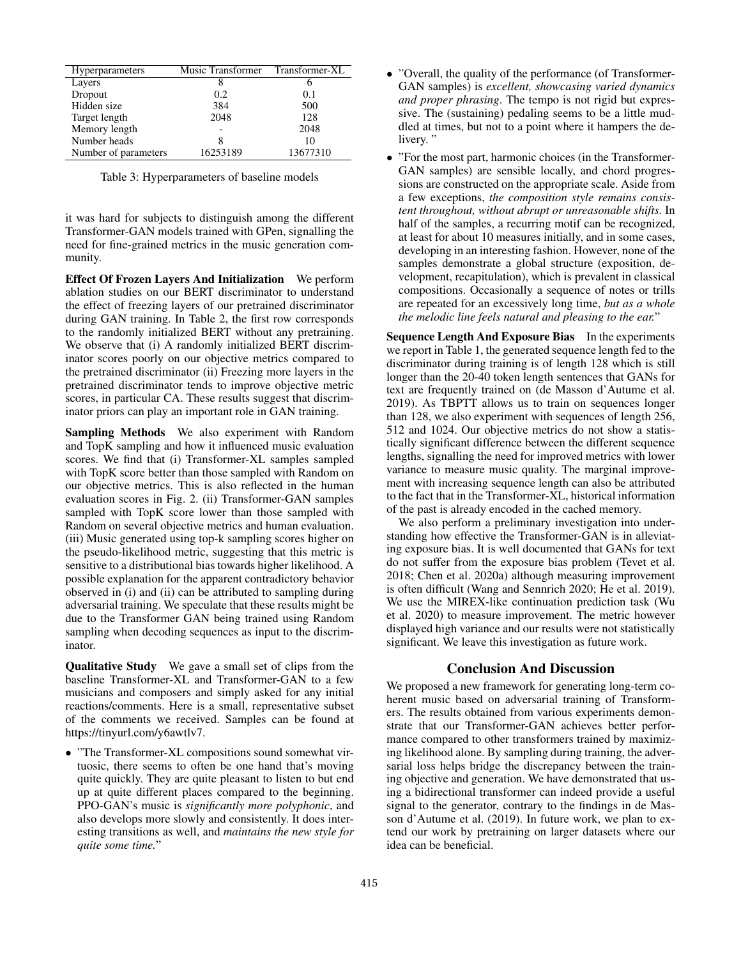| <b>Hyperparameters</b> | Music Transformer | Transformer-XL |
|------------------------|-------------------|----------------|
| Layers                 | 8                 |                |
| Dropout                | 0.2               | 0.1            |
| Hidden size            | 384               | 500            |
| Target length          | 2048              | 128            |
| Memory length          |                   | 2048           |
| Number heads           |                   | 10             |
| Number of parameters   | 16253189          | 13677310       |

Table 3: Hyperparameters of baseline models

it was hard for subjects to distinguish among the different Transformer-GAN models trained with GPen, signalling the need for fine-grained metrics in the music generation community.

Effect Of Frozen Layers And Initialization We perform ablation studies on our BERT discriminator to understand the effect of freezing layers of our pretrained discriminator during GAN training. In Table 2, the first row corresponds to the randomly initialized BERT without any pretraining. We observe that (i) A randomly initialized BERT discriminator scores poorly on our objective metrics compared to the pretrained discriminator (ii) Freezing more layers in the pretrained discriminator tends to improve objective metric scores, in particular CA. These results suggest that discriminator priors can play an important role in GAN training.

Sampling Methods We also experiment with Random and TopK sampling and how it influenced music evaluation scores. We find that (i) Transformer-XL samples sampled with TopK score better than those sampled with Random on our objective metrics. This is also reflected in the human evaluation scores in Fig. 2. (ii) Transformer-GAN samples sampled with TopK score lower than those sampled with Random on several objective metrics and human evaluation. (iii) Music generated using top-k sampling scores higher on the pseudo-likelihood metric, suggesting that this metric is sensitive to a distributional bias towards higher likelihood. A possible explanation for the apparent contradictory behavior observed in (i) and (ii) can be attributed to sampling during adversarial training. We speculate that these results might be due to the Transformer GAN being trained using Random sampling when decoding sequences as input to the discriminator.

Qualitative Study We gave a small set of clips from the baseline Transformer-XL and Transformer-GAN to a few musicians and composers and simply asked for any initial reactions/comments. Here is a small, representative subset of the comments we received. Samples can be found at https://tinyurl.com/y6awtlv7.

• "The Transformer-XL compositions sound somewhat virtuosic, there seems to often be one hand that's moving quite quickly. They are quite pleasant to listen to but end up at quite different places compared to the beginning. PPO-GAN's music is *significantly more polyphonic*, and also develops more slowly and consistently. It does interesting transitions as well, and *maintains the new style for quite some time.*"

- "Overall, the quality of the performance (of Transformer-GAN samples) is *excellent, showcasing varied dynamics and proper phrasing*. The tempo is not rigid but expressive. The (sustaining) pedaling seems to be a little muddled at times, but not to a point where it hampers the delivery."
- "For the most part, harmonic choices (in the Transformer-GAN samples) are sensible locally, and chord progressions are constructed on the appropriate scale. Aside from a few exceptions, *the composition style remains consistent throughout, without abrupt or unreasonable shifts.* In half of the samples, a recurring motif can be recognized, at least for about 10 measures initially, and in some cases, developing in an interesting fashion. However, none of the samples demonstrate a global structure (exposition, development, recapitulation), which is prevalent in classical compositions. Occasionally a sequence of notes or trills are repeated for an excessively long time, *but as a whole the melodic line feels natural and pleasing to the ear.*"

Sequence Length And Exposure Bias In the experiments we report in Table 1, the generated sequence length fed to the discriminator during training is of length 128 which is still longer than the 20-40 token length sentences that GANs for text are frequently trained on (de Masson d'Autume et al. 2019). As TBPTT allows us to train on sequences longer than 128, we also experiment with sequences of length 256, 512 and 1024. Our objective metrics do not show a statistically significant difference between the different sequence lengths, signalling the need for improved metrics with lower variance to measure music quality. The marginal improvement with increasing sequence length can also be attributed to the fact that in the Transformer-XL, historical information of the past is already encoded in the cached memory.

We also perform a preliminary investigation into understanding how effective the Transformer-GAN is in alleviating exposure bias. It is well documented that GANs for text do not suffer from the exposure bias problem (Tevet et al. 2018; Chen et al. 2020a) although measuring improvement is often difficult (Wang and Sennrich 2020; He et al. 2019). We use the MIREX-like continuation prediction task (Wu et al. 2020) to measure improvement. The metric however displayed high variance and our results were not statistically significant. We leave this investigation as future work.

### Conclusion And Discussion

We proposed a new framework for generating long-term coherent music based on adversarial training of Transformers. The results obtained from various experiments demonstrate that our Transformer-GAN achieves better performance compared to other transformers trained by maximizing likelihood alone. By sampling during training, the adversarial loss helps bridge the discrepancy between the training objective and generation. We have demonstrated that using a bidirectional transformer can indeed provide a useful signal to the generator, contrary to the findings in de Masson d'Autume et al. (2019). In future work, we plan to extend our work by pretraining on larger datasets where our idea can be beneficial.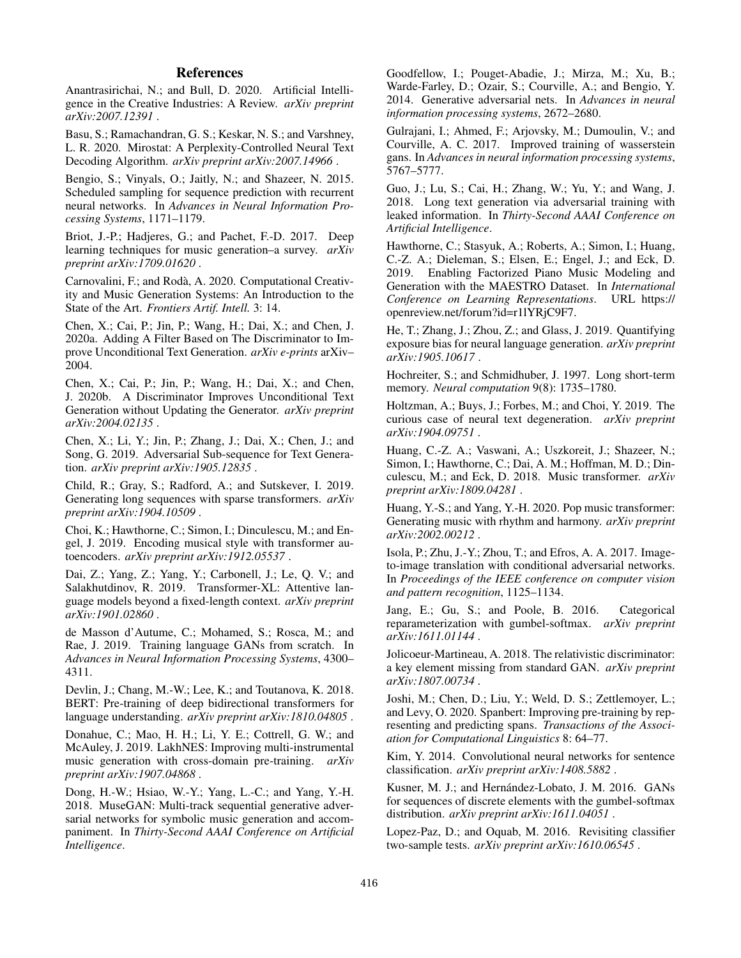# References

Anantrasirichai, N.; and Bull, D. 2020. Artificial Intelligence in the Creative Industries: A Review. *arXiv preprint arXiv:2007.12391* .

Basu, S.; Ramachandran, G. S.; Keskar, N. S.; and Varshney, L. R. 2020. Mirostat: A Perplexity-Controlled Neural Text Decoding Algorithm. *arXiv preprint arXiv:2007.14966* .

Bengio, S.; Vinyals, O.; Jaitly, N.; and Shazeer, N. 2015. Scheduled sampling for sequence prediction with recurrent neural networks. In *Advances in Neural Information Processing Systems*, 1171–1179.

Briot, J.-P.; Hadjeres, G.; and Pachet, F.-D. 2017. Deep learning techniques for music generation–a survey. *arXiv preprint arXiv:1709.01620* .

Carnovalini, F.; and Roda, A. 2020. Computational Creativ- ` ity and Music Generation Systems: An Introduction to the State of the Art. *Frontiers Artif. Intell.* 3: 14.

Chen, X.; Cai, P.; Jin, P.; Wang, H.; Dai, X.; and Chen, J. 2020a. Adding A Filter Based on The Discriminator to Improve Unconditional Text Generation. *arXiv e-prints* arXiv– 2004.

Chen, X.; Cai, P.; Jin, P.; Wang, H.; Dai, X.; and Chen, J. 2020b. A Discriminator Improves Unconditional Text Generation without Updating the Generator. *arXiv preprint arXiv:2004.02135* .

Chen, X.; Li, Y.; Jin, P.; Zhang, J.; Dai, X.; Chen, J.; and Song, G. 2019. Adversarial Sub-sequence for Text Generation. *arXiv preprint arXiv:1905.12835* .

Child, R.; Gray, S.; Radford, A.; and Sutskever, I. 2019. Generating long sequences with sparse transformers. *arXiv preprint arXiv:1904.10509* .

Choi, K.; Hawthorne, C.; Simon, I.; Dinculescu, M.; and Engel, J. 2019. Encoding musical style with transformer autoencoders. *arXiv preprint arXiv:1912.05537* .

Dai, Z.; Yang, Z.; Yang, Y.; Carbonell, J.; Le, Q. V.; and Salakhutdinov, R. 2019. Transformer-XL: Attentive language models beyond a fixed-length context. *arXiv preprint arXiv:1901.02860* .

de Masson d'Autume, C.; Mohamed, S.; Rosca, M.; and Rae, J. 2019. Training language GANs from scratch. In *Advances in Neural Information Processing Systems*, 4300– 4311.

Devlin, J.; Chang, M.-W.; Lee, K.; and Toutanova, K. 2018. BERT: Pre-training of deep bidirectional transformers for language understanding. *arXiv preprint arXiv:1810.04805* .

Donahue, C.; Mao, H. H.; Li, Y. E.; Cottrell, G. W.; and McAuley, J. 2019. LakhNES: Improving multi-instrumental music generation with cross-domain pre-training. *arXiv preprint arXiv:1907.04868* .

Dong, H.-W.; Hsiao, W.-Y.; Yang, L.-C.; and Yang, Y.-H. 2018. MuseGAN: Multi-track sequential generative adversarial networks for symbolic music generation and accompaniment. In *Thirty-Second AAAI Conference on Artificial Intelligence*.

Goodfellow, I.; Pouget-Abadie, J.; Mirza, M.; Xu, B.; Warde-Farley, D.; Ozair, S.; Courville, A.; and Bengio, Y. 2014. Generative adversarial nets. In *Advances in neural information processing systems*, 2672–2680.

Gulrajani, I.; Ahmed, F.; Arjovsky, M.; Dumoulin, V.; and Courville, A. C. 2017. Improved training of wasserstein gans. In *Advances in neural information processing systems*, 5767–5777.

Guo, J.; Lu, S.; Cai, H.; Zhang, W.; Yu, Y.; and Wang, J. 2018. Long text generation via adversarial training with leaked information. In *Thirty-Second AAAI Conference on Artificial Intelligence*.

Hawthorne, C.; Stasyuk, A.; Roberts, A.; Simon, I.; Huang, C.-Z. A.; Dieleman, S.; Elsen, E.; Engel, J.; and Eck, D. 2019. Enabling Factorized Piano Music Modeling and Generation with the MAESTRO Dataset. In *International Conference on Learning Representations*. URL https:// openreview.net/forum?id=r1lYRjC9F7.

He, T.; Zhang, J.; Zhou, Z.; and Glass, J. 2019. Quantifying exposure bias for neural language generation. *arXiv preprint arXiv:1905.10617* .

Hochreiter, S.; and Schmidhuber, J. 1997. Long short-term memory. *Neural computation* 9(8): 1735–1780.

Holtzman, A.; Buys, J.; Forbes, M.; and Choi, Y. 2019. The curious case of neural text degeneration. *arXiv preprint arXiv:1904.09751* .

Huang, C.-Z. A.; Vaswani, A.; Uszkoreit, J.; Shazeer, N.; Simon, I.; Hawthorne, C.; Dai, A. M.; Hoffman, M. D.; Dinculescu, M.; and Eck, D. 2018. Music transformer. *arXiv preprint arXiv:1809.04281* .

Huang, Y.-S.; and Yang, Y.-H. 2020. Pop music transformer: Generating music with rhythm and harmony. *arXiv preprint arXiv:2002.00212* .

Isola, P.; Zhu, J.-Y.; Zhou, T.; and Efros, A. A. 2017. Imageto-image translation with conditional adversarial networks. In *Proceedings of the IEEE conference on computer vision and pattern recognition*, 1125–1134.

Jang, E.; Gu, S.; and Poole, B. 2016. Categorical reparameterization with gumbel-softmax. *arXiv preprint arXiv:1611.01144* .

Jolicoeur-Martineau, A. 2018. The relativistic discriminator: a key element missing from standard GAN. *arXiv preprint arXiv:1807.00734* .

Joshi, M.; Chen, D.; Liu, Y.; Weld, D. S.; Zettlemoyer, L.; and Levy, O. 2020. Spanbert: Improving pre-training by representing and predicting spans. *Transactions of the Association for Computational Linguistics* 8: 64–77.

Kim, Y. 2014. Convolutional neural networks for sentence classification. *arXiv preprint arXiv:1408.5882* .

Kusner, M. J.; and Hernández-Lobato, J. M. 2016. GANs for sequences of discrete elements with the gumbel-softmax distribution. *arXiv preprint arXiv:1611.04051* .

Lopez-Paz, D.; and Oquab, M. 2016. Revisiting classifier two-sample tests. *arXiv preprint arXiv:1610.06545* .